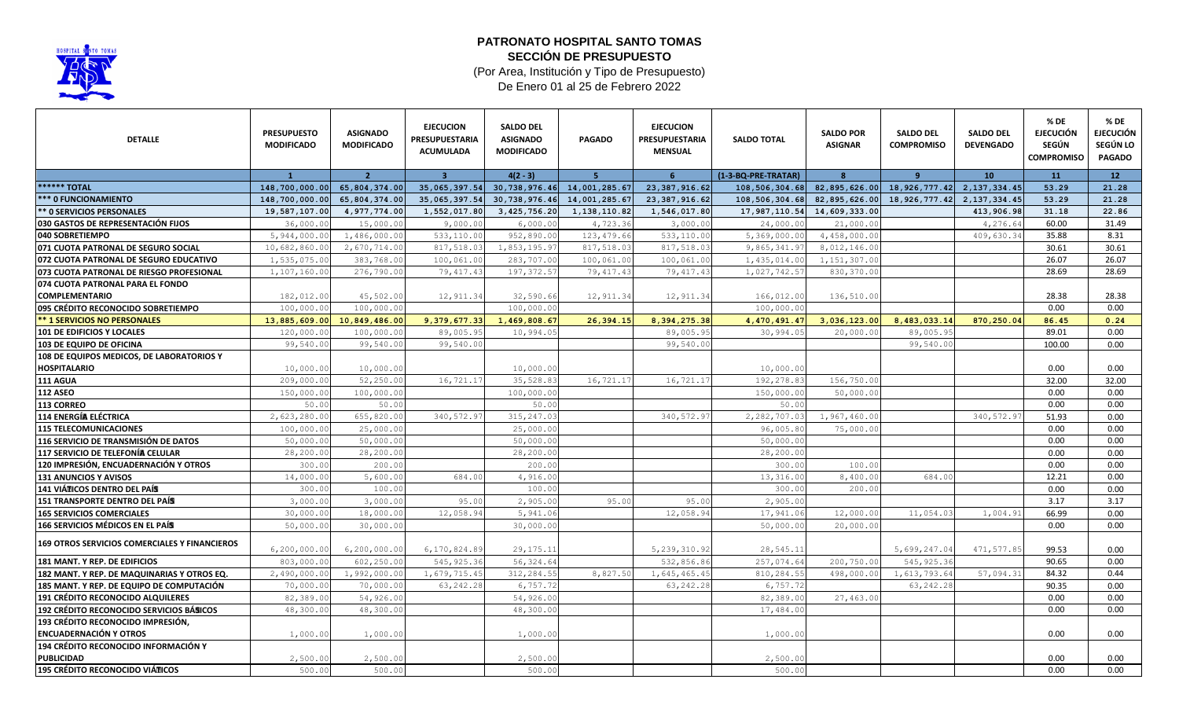

## **PATRONATO HOSPITAL SANTO TOMAS SECCIÓN DE PRESUPUESTO**

(Por Area, Institución y Tipo de Presupuesto) De Enero 01 al 25 de Febrero 2022

| <b>DETALLE</b>                                                   | <b>PRESUPUESTO</b><br><b>MODIFICADO</b> | <b>ASIGNADO</b><br><b>MODIFICADO</b> | <b>EJECUCION</b><br><b>PRESUPUESTARIA</b><br><b>ACUMULADA</b> | <b>SALDO DEL</b><br><b>ASIGNADO</b><br><b>MODIFICADO</b> | <b>PAGADO</b>                     | <b>EJECUCION</b><br><b>PRESUPUESTARIA</b><br><b>MENSUAL</b> | <b>SALDO TOTAL</b>  | <b>SALDO POR</b><br><b>ASIGNAR</b> | <b>SALDO DEL</b><br><b>COMPROMISO</b> | <b>SALDO DEL</b><br><b>DEVENGADO</b> | % DE<br><b>EJECUCIÓN</b><br>SEGÚN<br><b>COMPROMISO</b> | % DE<br><b>EJECUCIÓN</b><br>SEGÚN LO<br><b>PAGADO</b> |
|------------------------------------------------------------------|-----------------------------------------|--------------------------------------|---------------------------------------------------------------|----------------------------------------------------------|-----------------------------------|-------------------------------------------------------------|---------------------|------------------------------------|---------------------------------------|--------------------------------------|--------------------------------------------------------|-------------------------------------------------------|
|                                                                  | $\mathbf{1}$                            | $\overline{2}$                       | -3                                                            | $4(2 - 3)$                                               | -5.                               | 6                                                           | (1-3-BQ-PRE-TRATAR) | $\mathbf{8}$                       | <b>q</b>                              | 10                                   | 11                                                     | 12 <sup>7</sup>                                       |
| <b>****** TOTAL</b>                                              | 148,700,000.00                          | 65,804,374.00                        | 35,065,397.54                                                 | 30,738,976.46                                            | 14,001,285.67                     | 23, 387, 916.62                                             | 108,506,304.68      | 82,895,626.00                      | 18,926,777.42                         | 2, 137, 334.45                       | 53.29                                                  | 21.28                                                 |
| <b>*** 0 FUNCIONAMIENTO</b>                                      | 148,700,000.00                          | 65,804,374.00                        | 35,065,397.54                                                 |                                                          | 30, 738, 976. 46 14, 001, 285. 67 | 23, 387, 916.62                                             | 108,506,304.68      | 82,895,626.00                      | 18, 926, 777.42                       | 2, 137, 334, 45                      | 53.29                                                  | 21.28                                                 |
| ** 0 SERVICIOS PERSONALES                                        | 19,587,107.00                           | 4,977,774.00                         | 1,552,017.80                                                  | 3,425,756.20                                             | 1,138,110.82                      | 1,546,017.80                                                | 17,987,110.54       | 14,609,333.00                      |                                       | 413,906.98                           | 31.18                                                  | 22.86                                                 |
| 030 GASTOS DE REPRESENTACIÓN FIJOS                               | 36,000.00                               | 15,000.00                            | 9,000.00                                                      | 6,000.00                                                 | 4,723.36                          | 3,000.00                                                    | 24,000.00           | 21,000.00                          |                                       | 4,276.64                             | 60.00                                                  | 31.49                                                 |
| 040 SOBRETIEMPO                                                  | 5,944,000.00                            | 1,486,000.00                         | 533,110.00                                                    | 952,890.00                                               | 123, 479.66                       | 533,110.00                                                  | 5,369,000.00        | 4,458,000.00                       |                                       | 409,630.34                           | 35.88                                                  | 8.31                                                  |
| 071 CUOTA PATRONAL DE SEGURO SOCIAL                              | 10,682,860.00                           | 2,670,714.00                         | 817,518.03                                                    | 1,853,195.97                                             | 817,518.03                        | 817,518.03                                                  | 9,865,341.97        | 8,012,146.00                       |                                       |                                      | 30.61                                                  | 30.61                                                 |
| 072 CUOTA PATRONAL DE SEGURO EDUCATIVO                           | 1,535,075.00                            | 383,768.00                           | 100,061.00                                                    | 283,707.00                                               | 100,061.00                        | 100,061.00                                                  | 1,435,014.00        | 1, 151, 307.00                     |                                       |                                      | 26.07                                                  | 26.07                                                 |
| 073 CUOTA PATRONAL DE RIESGO PROFESIONAL                         | 1,107,160.00                            | 276,790.00                           | 79, 417.43                                                    | 197, 372.57                                              | 79, 417.43                        | 79, 417.43                                                  | 1,027,742.57        | 830,370.00                         |                                       |                                      | 28.69                                                  | 28.69                                                 |
| 074 CUOTA PATRONAL PARA EL FONDO                                 |                                         |                                      |                                                               |                                                          |                                   |                                                             |                     |                                    |                                       |                                      |                                                        |                                                       |
| <b>COMPLEMENTARIO</b>                                            | 182,012.00                              | 45,502.00                            | 12,911.34                                                     | 32,590.66                                                | 12,911.34                         | 12,911.34                                                   | 166,012.00          | 136,510.00                         |                                       |                                      | 28.38                                                  | 28.38                                                 |
| 095 CRÉDITO RECONOCIDO SOBRETIEMPO                               | 100,000.00                              | 100,000.00                           |                                                               | 100,000.00                                               |                                   |                                                             | 100,000.00          |                                    |                                       |                                      | 0.00                                                   | 0.00                                                  |
| <b>** 1 SERVICIOS NO PERSONALES</b>                              | 13,885,609.00                           | 10,849,486.00                        | 9,379,677.33                                                  | 1,469,808.67                                             | 26,394.15                         | 8,394,275.38                                                | 4,470,491.47        | 3,036,123.00                       | 8,483,033.14                          | 870,250.04                           | 86.45                                                  | 0.24                                                  |
| 101 DE EDIFICIOS Y LOCALES                                       | 120,000.00                              | 100,000.00                           | 89,005.95                                                     | 10,994.05                                                |                                   | 89,005.95                                                   | 30,994.05           | 20,000.00                          | 89,005.95                             |                                      | 89.01                                                  | 0.00                                                  |
| 103 DE EQUIPO DE OFICINA                                         | 99,540.00                               | 99,540.00                            | 99,540.00                                                     |                                                          |                                   | 99,540.00                                                   |                     |                                    | 99,540.0                              |                                      | 100.00                                                 | 0.00                                                  |
| 108 DE EQUIPOS MEDICOS, DE LABORATORIOS Y<br><b>HOSPITALARIO</b> | 10,000.00                               | 10,000.00                            |                                                               | 10,000.00                                                |                                   |                                                             | 10,000.00           |                                    |                                       |                                      | 0.00                                                   | 0.00                                                  |
| 111 AGUA                                                         | 209,000.00                              | 52,250.00                            | 16,721.17                                                     | 35,528.83                                                | 16,721.17                         | 16, 721.1                                                   | 192,278.83          | 156,750.00                         |                                       |                                      | 32.00                                                  | 32.00                                                 |
| <b>112 ASEO</b>                                                  | 150,000.00                              | 100,000.00                           |                                                               | 100,000.00                                               |                                   |                                                             | 150,000.00          | 50,000.00                          |                                       |                                      | 0.00                                                   | 0.00                                                  |
| 113 CORREO                                                       | 50.00                                   | 50.00                                |                                                               | 50.00                                                    |                                   |                                                             | 50.00               |                                    |                                       |                                      | 0.00                                                   | 0.00                                                  |
| <b>114 ENERGÍA ELÉCTRICA</b>                                     | 2,623,280.00                            | 655,820.00                           | 340, 572.97                                                   | 315, 247.03                                              |                                   | 340, 572.97                                                 | 2,282,707.03        | 1,967,460.00                       |                                       | 340,572.97                           | 51.93                                                  | 0.00                                                  |
| <b>115 TELECOMUNICACIONES</b>                                    | 100,000.00                              | 25,000.00                            |                                                               | 25,000.00                                                |                                   |                                                             | 96,005.80           | 75,000.00                          |                                       |                                      | 0.00                                                   | 0.00                                                  |
| 116 SERVICIO DE TRANSMISIÓN DE DATOS                             | 50,000.00                               | 50,000.00                            |                                                               | 50,000.00                                                |                                   |                                                             | 50,000.00           |                                    |                                       |                                      | 0.00                                                   | 0.00                                                  |
| <b>117 SERVICIO DE TELEFONÍA CELULAR</b>                         | 28,200.00                               | 28,200.00                            |                                                               | 28,200.00                                                |                                   |                                                             | 28,200.00           |                                    |                                       |                                      | 0.00                                                   | 0.00                                                  |
| 120 IMPRESIÓN, ENCUADERNACIÓN Y OTROS                            | 300.00                                  | 200.00                               |                                                               | 200.00                                                   |                                   |                                                             | 300.01              | 100.00                             |                                       |                                      | 0.00                                                   | 0.00                                                  |
| 131 ANUNCIOS Y AVISOS                                            | 14,000.00                               | 5,600.00                             | 684.00                                                        | 4,916.00                                                 |                                   |                                                             | 13,316.00           | 8,400.00                           | 684.0                                 |                                      | 12.21                                                  | 0.00                                                  |
| 141 VIÁTICOS DENTRO DEL PAÍS                                     | 300.00                                  | 100.00                               |                                                               | 100.00                                                   |                                   |                                                             | 300.00              | 200.00                             |                                       |                                      | 0.00                                                   | 0.00                                                  |
| <b>151 TRANSPORTE DENTRO DEL PAÍS</b>                            | 3,000.00                                | 3,000.00                             | 95.00                                                         | 2,905.00                                                 | 95.00                             | 95.00                                                       | 2,905.00            |                                    |                                       |                                      | 3.17                                                   | 3.17                                                  |
| <b>165 SERVICIOS COMERCIALES</b>                                 | 30,000.00                               | 18,000.00                            | 12,058.94                                                     | 5,941.06                                                 |                                   | 12,058.94                                                   | 17,941.06           | 12,000.00                          | 11,054.03                             | 1,004.91                             | 66.99                                                  | 0.00                                                  |
| <b>166 SERVICIOS MÉDICOS EN EL PAÍS</b>                          | 50,000.00                               | 30,000.00                            |                                                               | 30,000.00                                                |                                   |                                                             | 50,000.00           | 20,000.00                          |                                       |                                      | 0.00                                                   | 0.00                                                  |
| 169 OTROS SERVICIOS COMERCIALES Y FINANCIEROS                    | 6,200,000.00                            | 6,200,000.00                         | 6,170,824.89                                                  | 29, 175. 11                                              |                                   | 5, 239, 310.92                                              | 28,545.11           |                                    | 5,699,247.04                          | 471,577.85                           | 99.53                                                  | 0.00                                                  |
| 181 MANT. Y REP. DE EDIFICIOS                                    | 803,000.00                              | 602,250.00                           | 545, 925.36                                                   | 56, 324.64                                               |                                   | 532,856.86                                                  | 257,074.64          | 200,750.00                         | 545, 925.36                           |                                      | 90.65                                                  | 0.00                                                  |
| 182 MANT. Y REP. DE MAQUINARIAS Y OTROS EQ.                      | 2,490,000.00                            | 1,992,000.00                         | 1,679,715.45                                                  | 312,284.55                                               | 8,827.50                          | 1,645,465.45                                                | 810,284.55          | 498,000.00                         | 1,613,793.64                          | 57,094.31                            | 84.32                                                  | 0.44                                                  |
| 185 MANT. Y REP. DE EQUIPO DE COMPUTACIÓN                        | 70,000.00                               | 70,000.00                            | 63, 242.28                                                    | 6,757.72                                                 |                                   | 63, 242.28                                                  | 6,757.72            |                                    | 63, 242.28                            |                                      | 90.35                                                  | 0.00                                                  |
| <b>191 CRÉDITO RECONOCIDO ALQUILERES</b>                         | 82,389.00                               | 54,926.00                            |                                                               | 54,926.00                                                |                                   |                                                             | 82,389.00           | 27,463.00                          |                                       |                                      | 0.00                                                   | 0.00                                                  |
| <b>192 CRÉDITO RECONOCIDO SERVICIOS BÁSICOS</b>                  | 48,300.00                               | 48,300.00                            |                                                               | 48,300.00                                                |                                   |                                                             | 17,484.00           |                                    |                                       |                                      | 0.00                                                   | 0.00                                                  |
| 193 CRÉDITO RECONOCIDO IMPRESIÓN.                                |                                         |                                      |                                                               |                                                          |                                   |                                                             |                     |                                    |                                       |                                      |                                                        |                                                       |
| <b>ENCUADERNACIÓN Y OTROS</b>                                    | 1,000.00                                | 1,000.00                             |                                                               | 1,000.00                                                 |                                   |                                                             | 1,000.00            |                                    |                                       |                                      | 0.00                                                   | 0.00                                                  |
| 194 CRÉDITO RECONOCIDO INFORMACIÓN Y                             |                                         |                                      |                                                               |                                                          |                                   |                                                             |                     |                                    |                                       |                                      |                                                        |                                                       |
| <b>PUBLICIDAD</b>                                                | 2,500.00                                | 2,500.00                             |                                                               | 2,500.00                                                 |                                   |                                                             | 2,500.00            |                                    |                                       |                                      | 0.00                                                   | 0.00                                                  |
| <b>195 CRÉDITO RECONOCIDO VIÁTICOS</b>                           | 500.00                                  | 500.00                               |                                                               | 500.00                                                   |                                   |                                                             | 500.00              |                                    |                                       |                                      | 0.00                                                   | 0.00                                                  |
|                                                                  |                                         |                                      |                                                               |                                                          |                                   |                                                             |                     |                                    |                                       |                                      |                                                        |                                                       |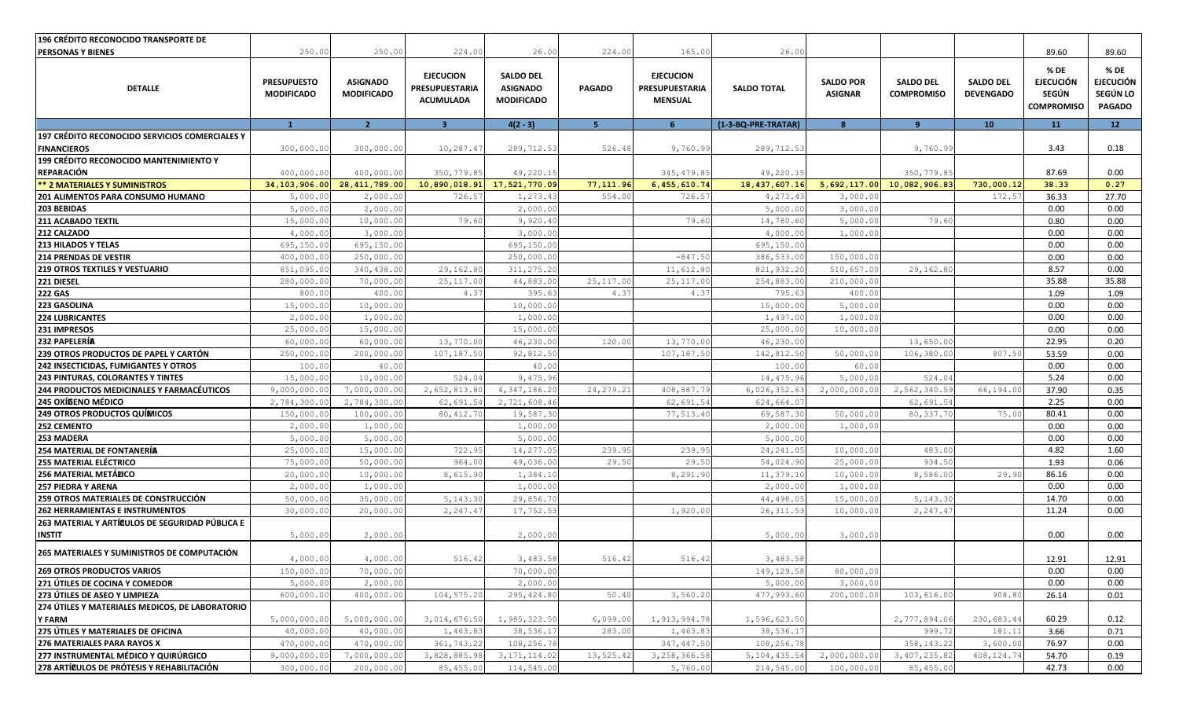| <b>196 CRÉDITO RECONOCIDO TRANSPORTE DE</b>                      |                                         |                                      |                                                        |                                                          |                |                                                             |                     |                                    |                                       |                                      |                                                        |                                                       |
|------------------------------------------------------------------|-----------------------------------------|--------------------------------------|--------------------------------------------------------|----------------------------------------------------------|----------------|-------------------------------------------------------------|---------------------|------------------------------------|---------------------------------------|--------------------------------------|--------------------------------------------------------|-------------------------------------------------------|
| <b>PERSONAS Y BIENES</b>                                         | 250.00                                  | 250.00                               | 224.00                                                 | 26.00                                                    | 224.00         | 165.00                                                      | 26.00               |                                    |                                       |                                      | 89.60                                                  | 89.60                                                 |
| <b>DETALLE</b>                                                   | <b>PRESUPUESTO</b><br><b>MODIFICADO</b> | <b>ASIGNADO</b><br><b>MODIFICADO</b> | <b>EJECUCION</b><br>PRESUPUESTARIA<br><b>ACUMULADA</b> | <b>SALDO DEL</b><br><b>ASIGNADO</b><br><b>MODIFICADO</b> | <b>PAGADO</b>  | <b>EJECUCION</b><br><b>PRESUPUESTARIA</b><br><b>MENSUAL</b> | <b>SALDO TOTAL</b>  | <b>SALDO POR</b><br><b>ASIGNAR</b> | <b>SALDO DEL</b><br><b>COMPROMISO</b> | <b>SALDO DEL</b><br><b>DEVENGADO</b> | % DE<br><b>EJECUCIÓN</b><br>SEGÚN<br><b>COMPROMISO</b> | % DE<br><b>EJECUCIÓN</b><br>SEGÚN LO<br><b>PAGADO</b> |
|                                                                  | $\overline{1}$                          | 2 <sup>2</sup>                       | $\overline{\mathbf{3}}$                                | $4(2 - 3)$                                               | 5 <sup>1</sup> | 6                                                           | (1-3-BQ-PRE-TRATAR) | 8                                  | $\overline{9}$                        | 10                                   | 11                                                     | 12                                                    |
| 197 CRÉDITO RECONOCIDO SERVICIOS COMERCIALES Y                   |                                         |                                      |                                                        |                                                          |                |                                                             |                     |                                    |                                       |                                      |                                                        |                                                       |
| <b>FINANCIEROS</b>                                               | 300,000.00                              | 300,000.00                           | 10,287.47                                              | 289,712.53                                               | 526.48         | 9,760.99                                                    | 289,712.53          |                                    | 9,760.99                              |                                      | 3.43                                                   | 0.18                                                  |
| 199 CRÉDITO RECONOCIDO MANTENIMIENTO Y                           |                                         |                                      |                                                        |                                                          |                |                                                             |                     |                                    |                                       |                                      |                                                        |                                                       |
| REPARACIÓN                                                       | 400,000.00                              | 400,000.00                           | 350,779.85                                             | 49,220.15                                                |                | 345, 479.85                                                 | 49,220.15           |                                    | 350,779.85                            |                                      | 87.69                                                  | 0.00                                                  |
| <b>** 2 MATERIALES Y SUMINISTROS</b>                             | 34,103,906.00                           | 28, 411, 789.00                      | 10,890,018.91                                          | 17,521,770.09                                            | 77,111.96      | 6,455,610.74                                                | 18, 437, 607. 16    | 5,692,117.00                       | 10,082,906.83                         | 730,000.12                           | 38.33                                                  | 0.27                                                  |
| 201 ALIMENTOS PARA CONSUMO HUMANO                                | 5,000.00                                | 2,000.00                             | 726.57                                                 | 1,273.43                                                 | 554.00         | 726.57                                                      | 4,273.43            | 3,000.00                           |                                       | 172.57                               | 36.33                                                  | 27.70                                                 |
| 203 BEBIDAS                                                      | 5,000.00                                | 2,000.00                             |                                                        | 2,000.00                                                 |                |                                                             | 5,000.00            | 3,000.00                           |                                       |                                      | 0.00                                                   | 0.00                                                  |
| 211 ACABADO TEXTIL                                               | 15,000.00                               | 10,000.00                            | 79.60                                                  | 9,920.40                                                 |                | 79.60                                                       | 14,780.60           | 5,000.00                           | 79.60                                 |                                      | 0.80                                                   | 0.00                                                  |
| 212 CALZADO                                                      | 4,000.00                                | 3,000.00                             |                                                        | 3,000.00                                                 |                |                                                             | 4,000.00            | 1,000.00                           |                                       |                                      | 0.00                                                   | 0.00                                                  |
| <b>213 HILADOS Y TELAS</b>                                       | 695,150.00                              | 695,150.00                           |                                                        | 695,150.00                                               |                |                                                             | 695,150.00          |                                    |                                       |                                      | 0.00                                                   | 0.00                                                  |
| <b>214 PRENDAS DE VESTIR</b>                                     | 400,000.00                              | 250,000.00                           |                                                        | 250,000.00                                               |                | $-847.50$                                                   | 386,533.00          | 150,000.00                         |                                       |                                      | 0.00                                                   | 0.00                                                  |
| <b>219 OTROS TEXTILES Y VESTUARIO</b>                            | 851,095.00                              | 340,438.00                           | 29,162.80                                              | 311, 275.20                                              |                | 11,612.80                                                   | 821,932.20          | 510,657.00                         | 29,162.80                             |                                      | 8.57                                                   | 0.00                                                  |
| 221 DIESEL                                                       | 280,000.00                              | 70,000.00                            | 25, 117.00                                             | 44,883.00                                                | 25,117.00      | 25, 117.00                                                  | 254,883.00          | 210,000.00                         |                                       |                                      | 35.88                                                  | 35.88                                                 |
| <b>222 GAS</b>                                                   | 800.00                                  | 400.00                               | 4.37                                                   | 395.63                                                   | 4.37           | 4.37                                                        | 795.63              | 400.00                             |                                       |                                      | 1.09                                                   | 1.09                                                  |
| 223 GASOLINA                                                     | 15,000.00                               | 10,000.00                            |                                                        | 10,000.00                                                |                |                                                             | 15,000.00           | 5,000.00                           |                                       |                                      | 0.00                                                   | 0.00                                                  |
| <b>224 LUBRICANTES</b>                                           | 2,000.00                                | 1,000.00                             |                                                        | 1,000.00                                                 |                |                                                             | 1,497.00            | 1,000.00                           |                                       |                                      | 0.00                                                   | 0.00                                                  |
| 231 IMPRESOS                                                     | 25,000.00                               | 15,000.00                            |                                                        | 15,000.00                                                |                |                                                             | 25,000.00           | 10,000.00                          |                                       |                                      | 0.00                                                   | 0.00                                                  |
| 232 PAPELERÍA                                                    | 60,000.00                               | 60,000.00                            | 13,770.00                                              | 46,230.00                                                | 120.00         | 13,770.00                                                   | 46,230.00           |                                    | 13,650.00                             |                                      | 22.95                                                  | 0.20                                                  |
| 239 OTROS PRODUCTOS DE PAPEL Y CARTÓN                            | 250,000.00                              | 200,000.00                           | 107,187.50                                             | 92,812.50                                                |                | 107, 187.50                                                 | 142,812.50          | 50,000.00                          | 106, 380.0                            | 807.50                               | 53.59                                                  | 0.00                                                  |
| 242 INSECTICIDAS, FUMIGANTES Y OTROS                             | 100.00                                  | 40.00                                |                                                        | 40.00                                                    |                |                                                             | 100.00              | 60.00                              |                                       |                                      | 0.00                                                   | 0.00                                                  |
| 243 PINTURAS, COLORANTES Y TINTES                                | 15,000.00                               | 10,000.00                            | 524.04                                                 | 9,475.96                                                 |                |                                                             | 14,475.96           | 5,000.00                           | 524.04                                |                                      | 5.24                                                   | 0.00                                                  |
| <b>244 PRODUCTOS MEDICINALES Y FARMACÉUTICOS</b>                 | 9,000,000.00                            | 7,000,000.00                         | 2,652,813.80                                           | 4,347,186.20                                             | 24, 279.21     | 408,887.79                                                  | 6,026,352.63        | 2,000,000.00                       | 2,562,340.59                          | 66,194.00                            | 37.90                                                  | 0.35                                                  |
| 245 OXÍGENO MÉDICO                                               | 2,784,300.00                            | 2,784,300.00                         | 62,691.54                                              | 2,721,608.46                                             |                | 62,691.54                                                   | 624,664.07          |                                    | 62,691.54                             |                                      | 2.25                                                   | 0.00                                                  |
| <b>249 OTROS PRODUCTOS QUÍMICOS</b>                              | 150,000.00                              | 100,000.00                           | 80, 412.70                                             | 19,587.30                                                |                | 77,513.40                                                   | 69,587.30           | 50,000.00                          | 80, 337.7                             | 75.00                                | 80.41                                                  | 0.00                                                  |
| 252 CEMENTO                                                      | 2,000.00                                | 1,000.00                             |                                                        | 1,000.00                                                 |                |                                                             | 2,000.00            | 1,000.00                           |                                       |                                      | 0.00                                                   | 0.00                                                  |
| 253 MADERA                                                       | 5,000.00                                | 5,000.00                             |                                                        | 5,000.00                                                 |                |                                                             | 5,000.00            |                                    |                                       |                                      | 0.00                                                   | 0.00                                                  |
| 254 MATERIAL DE FONTANERÍA                                       | 25,000.00                               | 15,000.00                            | 722.95                                                 | 14,277.05                                                | 239.95         | 239.95                                                      | 24, 241.05          | 10,000.00                          | 483.00                                |                                      | 4.82                                                   | 1.60                                                  |
| 255 MATERIAL ELÉCTRICO                                           | 75,000.00                               | 50,000.00                            | 964.00                                                 | 49,036.00                                                | 29.50          | 29.50                                                       | 54,024.90           | 25,000.00                          | 934.5                                 |                                      | 1.93                                                   | 0.06                                                  |
| 256 MATERIAL METÁLICO                                            | 20,000.00                               | 10,000.00                            | 8,615.90                                               | 1,384.10                                                 |                | 8,291.90                                                    | 11,379.10           | 10,000.00                          | 8,586.0                               | 29.90                                | 86.16                                                  | 0.00                                                  |
| <b>257 PIEDRA Y ARENA</b>                                        | 2,000.00                                | 1,000.00                             |                                                        | 1,000.00                                                 |                |                                                             | 2,000.00            | 1,000.00                           |                                       |                                      | 0.00                                                   | 0.00                                                  |
| 259 OTROS MATERIALES DE CONSTRUCCIÓN                             | 50,000.00                               | 35,000.00                            | 5, 143.30                                              | 29,856.70                                                |                |                                                             | 44,498.05           | 15,000.0                           | 5,143.30                              |                                      | 14.70                                                  | 0.00                                                  |
| <b>262 HERRAMIENTAS E INSTRUMENTOS</b>                           | 30,000.00                               | 20,000.00                            | 2,247.47                                               | 17,752.53                                                |                | 1,920.00                                                    | 26, 311.53          | 10,000.00                          | 2,247.4                               |                                      | 11.24                                                  | 0.00                                                  |
| 263 MATERIAL Y ARTÍCULOS DE SEGURIDAD PÚBLICA E                  |                                         |                                      |                                                        |                                                          |                |                                                             |                     |                                    |                                       |                                      |                                                        |                                                       |
| <b>INSTIT</b>                                                    | 5,000.00                                | 2,000.00                             |                                                        | 2,000.00                                                 |                |                                                             | 5,000.00            | 3,000.00                           |                                       |                                      | 0.00                                                   | 0.00                                                  |
| 265 MATERIALES Y SUMINISTROS DE COMPUTACIÓN                      | 4,000.00                                | 4,000.00                             | 516.42                                                 | 3,483.58                                                 | 516.42         | 516.42                                                      | 3,483.58            |                                    |                                       |                                      | 12.91                                                  | 12.91                                                 |
| <b>269 OTROS PRODUCTOS VARIOS</b>                                | 150,000.00                              | 70,000.00                            |                                                        | 70,000.00                                                |                |                                                             | 149, 129.58         | 80,000.00                          |                                       |                                      | 0.00                                                   | 0.00                                                  |
| 271 ÚTILES DE COCINA Y COMEDOR                                   | 5,000.00                                | 2,000.00                             |                                                        | 2,000.00                                                 |                |                                                             | 5,000.00            | 3,000.00                           |                                       |                                      | 0.00                                                   | 0.00                                                  |
| 273 ÚTILES DE ASEO Y LIMPIEZA                                    | 600,000.00                              | 400,000.00                           | 104,575.20                                             | 295, 424.80                                              | 50.40          | 3,560.20                                                    | 477,993.60          | 200,000.00                         | 103,616.00                            | 908.80                               | 26.14                                                  | 0.01                                                  |
| 274 ÚTILES Y MATERIALES MEDICOS, DE LABORATORIO<br><b>Y FARM</b> | 5,000,000.00                            | 5,000,000.00                         | 3,014,676.50                                           | 1,985,323.50                                             | 6,099.00       | 1, 913, 994.78                                              | 1,596,623.50        |                                    | 2,777,894.06                          | 230,683.44                           | 60.29                                                  | 0.12                                                  |
| 275 ÚTILES Y MATERIALES DE OFICINA                               | 40,000.00                               | 40,000.00                            | 1,463.83                                               | 38,536.17                                                | 283.00         | 1,463.83                                                    | 38,536.17           |                                    | 999.72                                | 181.11                               | 3.66                                                   | 0.71                                                  |
| 276 MATERIALES PARA RAYOS X                                      | 470,000.00                              | 470,000.00                           | 361,743.22                                             | 108,256.78                                               |                | 347, 447.50                                                 | 108,256.78          |                                    | 358, 143.22                           | 3,600.00                             | 76.97                                                  | 0.00                                                  |
| 277 INSTRUMENTAL MÉDICO Y QUIRÚRGICO                             | 9,000,000.00                            | 7,000,000.00                         | 3,828,885.98                                           | 3, 171, 114.02                                           | 13,525.42      | 3,258,366.58                                                | 5, 104, 435.54      | 2,000,000.00                       | 3,407,235.82                          | 408, 124.74                          | 54.70                                                  | 0.19                                                  |
| 278 ARTÍCULOS DE PRÓTESIS Y REHABILITACIÓN                       | 300,000.00                              | 200,000.00                           | 85,455.00                                              | 114,545.00                                               |                | 5,760.00                                                    | 214,545.00          | 100,000.00                         | 85,455.00                             |                                      | 42.73                                                  | 0.00                                                  |
|                                                                  |                                         |                                      |                                                        |                                                          |                |                                                             |                     |                                    |                                       |                                      |                                                        |                                                       |